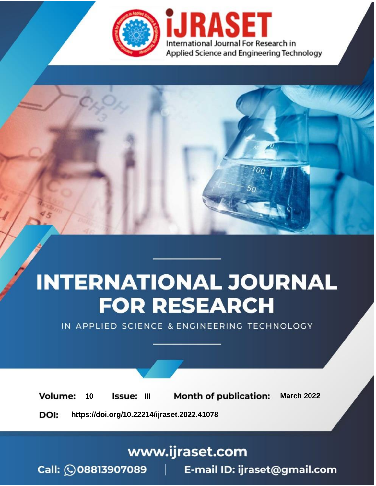

# **INTERNATIONAL JOURNAL FOR RESEARCH**

IN APPLIED SCIENCE & ENGINEERING TECHNOLOGY

10 **Issue: III Month of publication:** March 2022 **Volume:** 

**https://doi.org/10.22214/ijraset.2022.41078**DOI:

www.ijraset.com

Call: 008813907089 | E-mail ID: ijraset@gmail.com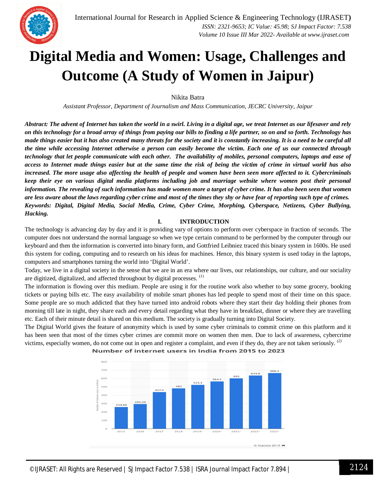

### **Digital Media and Women: Usage, Challenges and Outcome (A Study of Women in Jaipur)**

Nikita Batra

*Assistant Professor, Department of Journalism and Mass Communication, JECRC University, Jaipur*

*Abstract: The advent of Internet has taken the world in a swirl. Living in a digital age, we treat Internet as our lifesaver and rely on this technology for a broad array of things from paying our bills to finding a life partner, so on and so forth. Technology has made things easier but it has also created many threats for the society and it is constantly increasing. It is a need to be careful all the time while accessing Internet otherwise a person can easily become the victim. Each one of us our connected through technology that let people communicate with each other. The availability of mobiles, personal computers, laptops and ease of access to Internet made things easier but at the same time the risk of being the victim of crime in virtual world has also increased. The more usage also affecting the health of people and women have been seen more affected to it. Cybercriminals keep their eye on various digital media platforms including job and marriage website where women post their personal information. The revealing of such information has made women more a target of cyber crime. It has also been seen that women are less aware about the laws regarding cyber crime and most of the times they shy or have fear of reporting such type of crimes. Keywords: Digital, Digital Media, Social Media, Crime, Cyber Crime, Morphing, Cyberspace, Netizens, Cyber Bullying, Hacking.*

#### **I. INTRODUCTION**

The technology is advancing day by day and it is providing vary of options to perform over cyberspace in fraction of seconds. The computer does not understand the normal language so when we type certain command to be performed by the computer through our keyboard and then the information is converted into binary form, and Gottfried Leibniez traced this binary system in 1600s. He used this system for coding, computing and to research on his ideas for machines. Hence, this binary system is used today in the laptops, computers and smartphones turning the world into 'Digital World'.

Today, we live in a digital society in the sense that we are in an era where our lives, our relationships, our culture, and our sociality are digitized, digitalized, and affected throughout by digital processes. (*1*)

The information is flowing over this medium. People are using it for the routine work also whether to buy some grocery, booking tickets or paying bills etc. The easy availability of mobile smart phones has led people to spend most of their time on this space. Some people are so much addicted that they have turned into android robots where they start their day holding their phones from morning till late in night, they share each and every detail regarding what they have in breakfast, dinner or where they are travelling etc. Each of their minute detail is shared on this medium. The society is gradually turning into Digital Society.

The Digital World gives the feature of anonymity which is used by some cyber criminals to commit crime on this platform and it has been seen that most of the times cyber crimes are commit more on women then men. Due to lack of awareness, cybercrime victims, especially women, do not come out in open and register a complaint, and even if they do, they are not taken seriously. *(2)*



Number of internet users in India from 2015 to 2023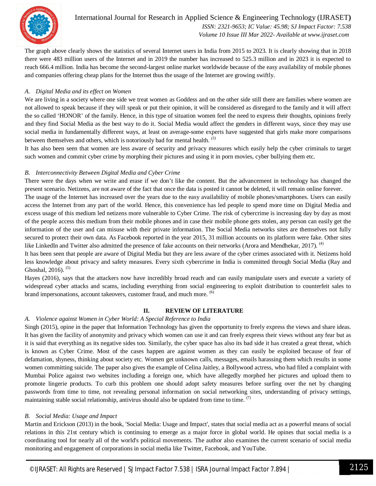

#### International Journal for Research in Applied Science & Engineering Technology (IJRASET**)**  *ISSN: 2321-9653; IC Value: 45.98; SJ Impact Factor: 7.538 Volume 10 Issue III Mar 2022- Available at www.ijraset.com*

The graph above clearly shows the statistics of several Internet users in India from 2015 to 2023. It is clearly showing that in 2018 there were 483 million users of the Internet and in 2019 the number has increased to 525.3 million and in 2023 it is expected to reach 666.4 million. India has become the second-largest online market worldwide because of the easy availability of mobile phones and companies offering cheap plans for the Internet thus the usage of the Internet are growing swiftly.

#### *A. Digital Media and its effect on Women*

We are living in a society where one side we treat women as Goddess and on the other side still there are families where women are not allowed to speak because if they will speak or put their opinion, it will be considered as disregard to the family and it will affect the so called 'HONOR' of the family. Hence, in this type of situation women feel the need to express their thoughts, opinions freely and they find Social Media as the best way to do it. Social Media would affect the genders in different ways, since they may use social media in fundamentally different ways, at least on average-some experts have suggested that girls make more comparisons between themselves and others, which is notoriously bad for mental health. *(3)*

It has also been seen that women are less aware of security and privacy measures which easily help the cyber criminals to target such women and commit cyber crime by morphing their pictures and using it in porn movies, cyber bullying them etc.

#### *B. Interconnectivity Between Digital Media and Cyber Crime*

There were the days when we write and erase if we don't like the content. But the advancement in technology has changed the present scenario. Netizens, are not aware of the fact that once the data is posted it cannot be deleted, it will remain online forever.

The usage of the Internet has increased over the years due to the easy availability of mobile phones/smartphones. Users can easily access the Internet from any part of the world. Hence, this convenience has led people to spend more time on Digital Media and excess usage of this medium led netizens more vulnerable to Cyber Crime. The risk of cybercrime is increasing day by day as most of the people access this medium from their mobile phones and in case their mobile phone gets stolen, any person can easily get the information of the user and can misuse with their private information. The Social Media networks sites are themselves not fully secured to protect their own data. As Facebook reported in the year 2015, 31 million accounts on its platform were fake. Other sites like LinkedIn and Twitter also admitted the presence of fake accounts on their networks (Arora and Mendhekar, 2017). <sup>(4)</sup>

It has been seen that people are aware of Digital Media but they are less aware of the cyber crimes associated with it. Netizens hold less knowledge about privacy and safety measures. Every sixth cybercrime in India is committed through Social Media (Ray and Ghoshal, 2016).  $(5)$ 

Hayes (2016), says that the attackers now have incredibly broad reach and can easily manipulate users and execute a variety of widespread cyber attacks and scams, including everything from social engineering to exploit distribution to counterfeit sales to brand impersonations, account takeovers, customer fraud, and much more. (6)

#### **II. REVIEW OF LITERATURE**

#### *A. Violence against Women in Cyber World: A Special Reference to India*

Singh (2015), opine in the paper that Information Technology has given the opportunity to freely express the views and share ideas. It has given the facility of anonymity and privacy which women can use it and can freely express their views without any fear but as it is said that everything as its negative sides too. Similarly, the cyber space has also its bad side it has created a great threat, which is known as Cyber Crime. Most of the cases happen are against women as they can easily be exploited because of fear of defamation, shyness, thinking about society etc. Women get unknown calls, messages, emails harassing them which results in some women committing suicide. The paper also gives the example of Celina Jaitley, a Bollywood actress, who had filed a complaint with Mumbai Police against two websites including a foreign one, which have allegedly morphed her pictures and upload them to promote lingerie products. To curb this problem one should adopt safety measures before surfing over the net by changing passwords from time to time, not revealing personal information on social networking sites, understanding of privacy settings, maintaining stable social relationship, antivirus should also be updated from time to time.  $\binom{7}{7}$ 

#### *B. Social Media: Usage and Impact*

Martin and Erickson (2013) in the book, 'Social Media: Usage and Impact', states that social media act as a powerful means of social relations in this 21st century which is continuing to emerge as a major force in global world. He opines that social media is a coordinating tool for nearly all of the world's political movements. The author also examines the current scenario of social media monitoring and engagement of corporations in social media like Twitter, Facebook, and YouTube.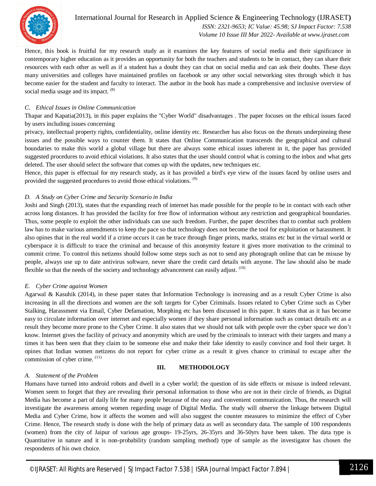

#### International Journal for Research in Applied Science & Engineering Technology (IJRASET**)**  *ISSN: 2321-9653; IC Value: 45.98; SJ Impact Factor: 7.538 Volume 10 Issue III Mar 2022- Available at www.ijraset.com*

Hence, this book is fruitful for my research study as it examines the key features of social media and their significance in contemporary higher education as it provides an opportunity for both the teachers and students to be in contact, they can share their resources with each other as well as if a student has a doubt they can chat on social media and can ask their doubts. These days many universities and colleges have maintained profiles on facebook or any other social networking sites through which it has become easier for the student and faculty to interact. The author in the book has made a comprehensive and inclusive overview of social media usage and its impact.  $(8)$ 

#### *C. Ethical Issues in Online Communication*

Thapar and Kapatia(2013), in this paper explains the "Cyber World" disadvantages . The paper focuses on the ethical issues faced by users including issues concerning

privacy, intellectual property rights, confidentiality, online identity etc. Researcher has also focus on the threats underpinning these issues and the possible ways to counter them. It states that Online Communication transcends the geographical and cultural boundaries to make this world a global village but there are always some ethical issues inherent in it, the paper has provided suggested procedures to avoid ethical violations. It also states that the user should control what is coming to the inbox and what gets deleted. The user should select the software that comes up with the updates, new techniques etc.

Hence, this paper is effectual for my research study, as it has provided a bird's eye view of the issues faced by online users and provided the suggested procedures to avoid those ethical violations.<sup>(9)</sup>

#### *D. A Study on Cyber Crime and Security Scenario in India*

Joshi and Singh (2013), states that the expanding reach of internet has made possible for the people to be in contact with each other across long distances. It has provided the facility for free flow of information without any restriction and geographical boundaries. Thus, some people to exploit the other individuals can use such freedom. Further, the paper describes that to combat such problem law has to make various amendments to keep the pace so that technology does not become the tool for exploitation or harassment. It also opines that in the real world if a crime occurs it can be trace through finger prints, marks, strains etc but in the virtual world or cyberspace it is difficult to trace the criminal and because of this anonymity feature it gives more motivation to the criminal to commit crime. To control this netizens should follow some steps such as not to send any photograph online that can be misuse by people, always use up to date antivirus software, never share the credit card details with anyone. The law should also be made flexible so that the needs of the society and technology advancement can easily adjust.  $(10)$ 

#### *E. Cyber Crime against Women*

Agarwal & Kasuhik (2014), in these paper states that Information Technology is increasing and as a result Cyber Crime is also increasing in all the directions and women are the soft targets for Cyber Criminals. Issues related to Cyber Crime such as Cyber Stalking, Harassment via Email, Cyber Defamation, Morphing etc has been discussed in this paper. It states that as it has become easy to circulate information over internet and especially women if they share personal information such as contact details etc as a result they become more prone to the Cyber Crime. It also states that we should not talk with people over the cyber space we don't know. Internet gives the facility of privacy and anonymity which are used by the criminals to interact with their targets and many a times it has been seen that they claim to be someone else and make their fake identity to easily convince and fool their target. It opines that Indian women netizens do not report for cyber crime as a result it gives chance to criminal to escape after the commission of cyber crime.  $(11)$ 

#### *A. Statement of the Problem*

#### **III. METHODOLOGY**

Humans have turned into android robots and dwell in a cyber world; the question of its side effects or misuse is indeed relevant. Women seem to forget that they are revealing their personal information to those who are not in their circle of friends, as Digital Media has become a part of daily life for many people because of the easy and convenient communication. Thus, the research will investigate the awareness among women regarding usage of Digital Media. The study will observe the linkage between Digital Media and Cyber Crime, how it affects the women and will also suggest the counter measures to minimize the effect of Cyber Crime. Hence, The research study is done with the help of primary data as well as secondary data. The sample of 100 respondents (women) from the city of Jaipur of various age groups- 19-25yrs, 26-35yrs and 36-50yrs have been taken. The data type is Quantitative in nature and it is non-probability (random sampling method) type of sample as the investigator has chosen the respondents of his own choice.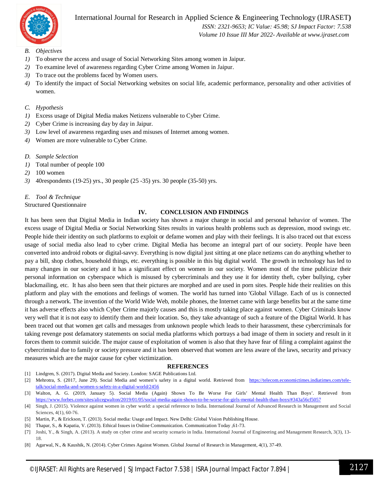

International Journal for Research in Applied Science & Engineering Technology (IJRASET**)**

 *ISSN: 2321-9653; IC Value: 45.98; SJ Impact Factor: 7.538 Volume 10 Issue III Mar 2022- Available at www.ijraset.com*

- *B. Objectives*
- *1)* To observe the access and usage of Social Networking Sites among women in Jaipur.
- *2)* To examine level of awareness regarding Cyber Crime among Women in Jaipur.
- *3)* To trace out the problems faced by Women users.
- *4)* To identify the impact of Social Networking websites on social life, academic performance, personality and other activities of women.
- *C. Hypothesis*
- *1)* Excess usage of Digital Media makes Netizens vulnerable to Cyber Crime.
- *2)* Cyber Crime is increasing day by day in Jaipur.
- *3)* Low level of awareness regarding uses and misuses of Internet among women.
- *4)* Women are more vulnerable to Cyber Crime.
- *D. Sample Selection*
- *1)* Total number of people 100
- *2)* 100 women
- *3)* 40respondents (19-25) yrs., 30 people (25 -35) yrs. 30 people (35-50) yrs.

#### *E. Tool & Technique*

Structured Questionnaire

#### **IV. CONCLUSION AND FINDINGS**

It has been seen that Digital Media in Indian society has shown a major change in social and personal behavior of women. The excess usage of Digital Media or Social Networking Sites results in various health problems such as depression, mood swings etc. People hide their identity on such platforms to exploit or defame women and play with their feelings. It is also traced out that excess usage of social media also lead to cyber crime. Digital Media has become an integral part of our society. People have been converted into android robots or digital-savvy. Everything is now digital just sitting at one place netizens can do anything whether to pay a bill, shop clothes, household things, etc. everything is possible in this big digital world. The growth in technology has led to many changes in our society and it has a significant effect on women in our society. Women most of the time publicize their personal information on cyberspace which is misused by cybercriminals and they use it for identity theft, cyber bullying, cyber blackmailing, etc. It has also been seen that their pictures are morphed and are used in porn sites. People hide their realities on this platform and play with the emotions and feelings of women. The world has turned into 'Global Village. Each of us is connected through a network. The invention of the World Wide Web, mobile phones, the Internet came with large benefits but at the same time it has adverse effects also which Cyber Crime majorly causes and this is mostly taking place against women. Cyber Criminals know very well that it is not easy to identify them and their location. So, they take advantage of such a feature of the Digital World. It has been traced out that women get calls and messages from unknown people which leads to their harassment, these cybercriminals for taking revenge post defamatory statements on social media platforms which portrays a bad image of them in society and result in it forces them to commit suicide. The major cause of exploitation of women is also that they have fear of filing a complaint against the cybercriminal due to family or society pressure and it has been observed that women are less aware of the laws, security and privacy measures which are the major cause for cyber victimization.

#### **REFERENCES**

- [1] Lindgren, S. (2017). Digital Media and Society. London: SAGE Publications Ltd.
- [2] Mehrotra, S. (2017, June 29). Social Media and women's safety in a digital world. Retrieved from https://telecom.economictimes.indiatimes.com/teletalk/social-media-and-women-s-safety-in-a-digital-world/2456
- [3] Walton, A. G. (2019, January 5). Social Media (Again) Shown To Be Worse For Girls' Mental Health Than Boys'. Retrieved from https://www.forbes.com/sites/alicegwalton/2019/01/05/social-media-again-shown-to-be-worse-for-girls-mental-health-than-boys/#343a56cf5057
- [4] Singh, J. (2015). Violence against women in cyber world: a special reference to India. International Journal of Advanced Research in Management and Social Sciences, 4(1), 60-76.
- [5] Martin, P., & Erickson, T. (2013). Social media: Usage and Impact. New Delhi: Global Vision Publishing House.
- [6] Thapar, S., & Kapatia, V. (2013). Ethical Issues in Online Communication. Communication Today ,61-73.
- [7] Joshi, Y., & Singh, A. (2013). A study on cyber crime and security scenario in India. International Journal of Engineering and Management Research, 3(3), 13-18.
- [8] Agarwal, N., & Kaushik, N. (2014). Cyber Crimes Against Women. Global Journal of Research in Management, 4(1), 37-49.